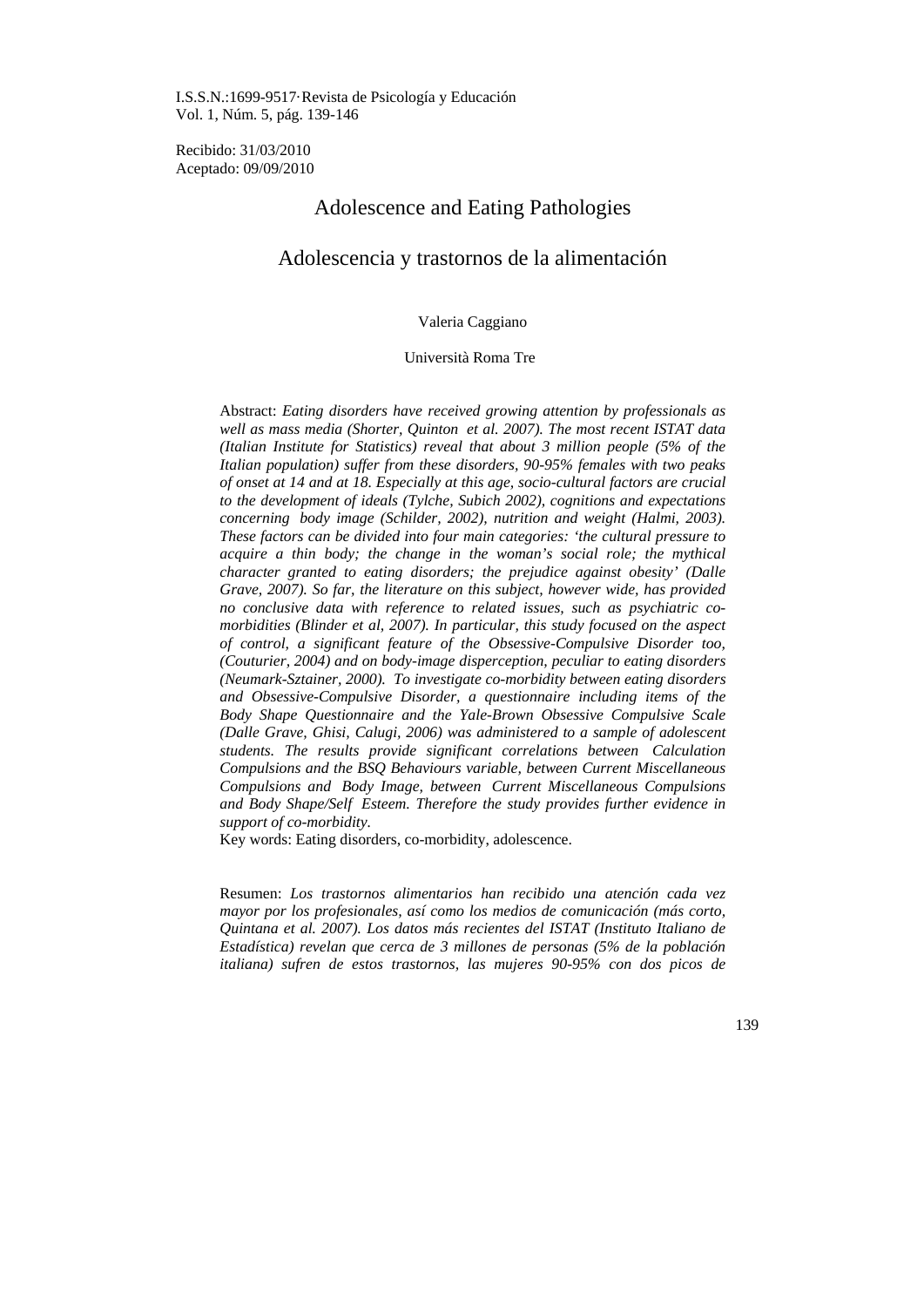I.S.S.N.:1699-9517·Revista de Psicología y Educación Vol. 1, Núm. 5, pág. 139-146

Recibido: 31/03/2010 Aceptado: 09/09/2010

# Adolescence and Eating Pathologies

# Adolescencia y trastornos de la alimentación

### Valeria Caggiano

# Università Roma Tre

Abstract: *Eating disorders have received growing attention by professionals as well as mass media (Shorter, Quinton et al. 2007). The most recent ISTAT data (Italian Institute for Statistics) reveal that about 3 million people (5% of the Italian population) suffer from these disorders, 90-95% females with two peaks of onset at 14 and at 18. Especially at this age, socio-cultural factors are crucial to the development of ideals (Tylche, Subich 2002), cognitions and expectations concerning body image (Schilder, 2002), nutrition and weight (Halmi, 2003). These factors can be divided into four main categories: 'the cultural pressure to acquire a thin body; the change in the woman's social role; the mythical character granted to eating disorders; the prejudice against obesity' (Dalle Grave, 2007). So far, the literature on this subject, however wide, has provided no conclusive data with reference to related issues, such as psychiatric comorbidities (Blinder et al, 2007). In particular, this study focused on the aspect of control, a significant feature of the Obsessive-Compulsive Disorder too, (Couturier, 2004) and on body-image disperception, peculiar to eating disorders (Neumark-Sztainer, 2000). To investigate co-morbidity between eating disorders and Obsessive-Compulsive Disorder, a questionnaire including items of the Body Shape Questionnaire and the Yale-Brown Obsessive Compulsive Scale (Dalle Grave, Ghisi, Calugi, 2006) was administered to a sample of adolescent students. The results provide significant correlations between Calculation Compulsions and the BSQ Behaviours variable, between Current Miscellaneous Compulsions and Body Image, between Current Miscellaneous Compulsions and Body Shape/Self Esteem. Therefore the study provides further evidence in support of co-morbidity.* 

Key words: Eating disorders, co-morbidity, adolescence.

Resumen: *Los trastornos alimentarios han recibido una atención cada vez mayor por los profesionales, así como los medios de comunicación (más corto, Quintana et al. 2007). Los datos más recientes del ISTAT (Instituto Italiano de Estadística) revelan que cerca de 3 millones de personas (5% de la población italiana) sufren de estos trastornos, las mujeres 90-95% con dos picos de* 

139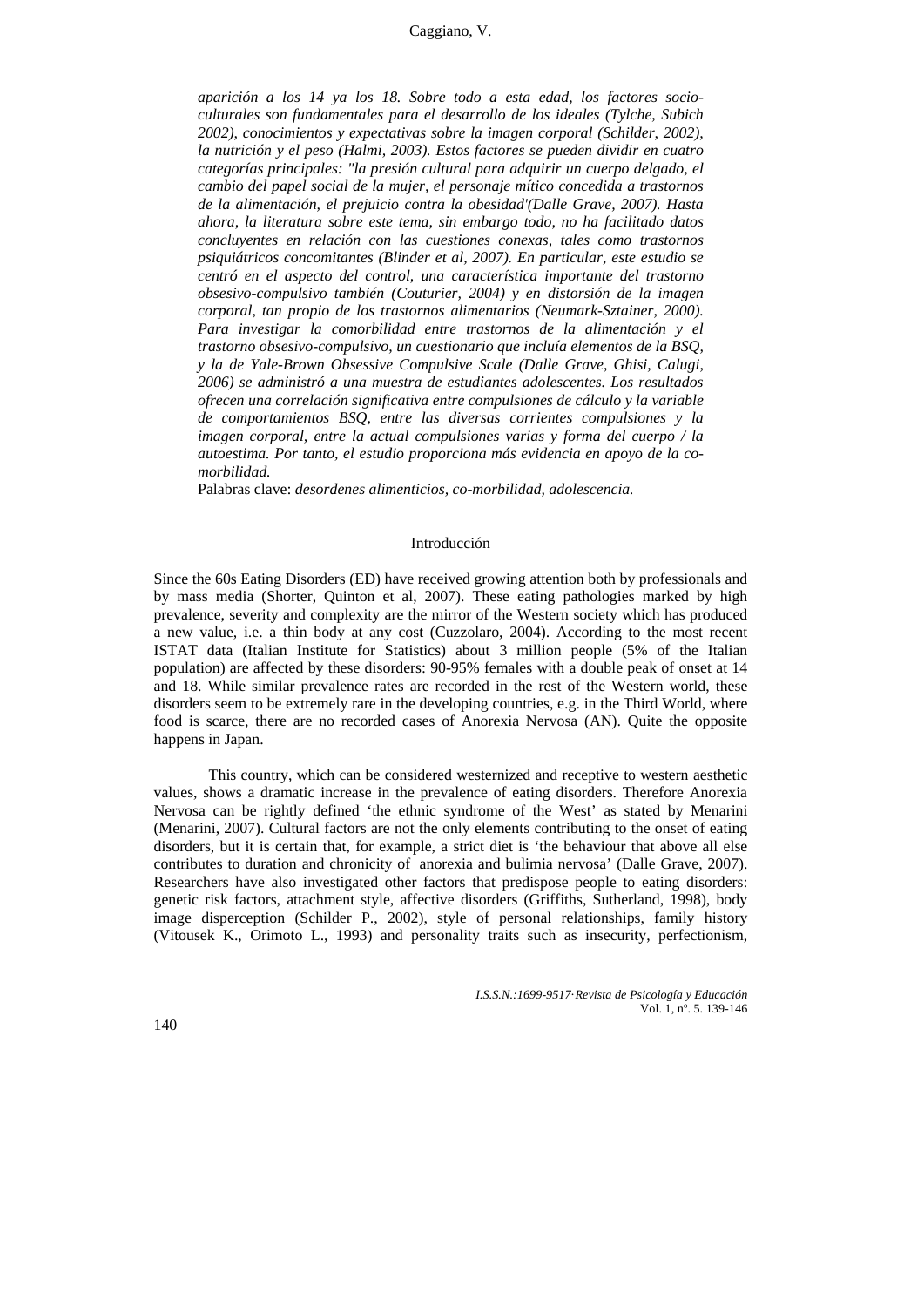### Caggiano, V.

*aparición a los 14 ya los 18. Sobre todo a esta edad, los factores socioculturales son fundamentales para el desarrollo de los ideales (Tylche, Subich 2002), conocimientos y expectativas sobre la imagen corporal (Schilder, 2002), la nutrición y el peso (Halmi, 2003). Estos factores se pueden dividir en cuatro categorías principales: "la presión cultural para adquirir un cuerpo delgado, el cambio del papel social de la mujer, el personaje mítico concedida a trastornos de la alimentación, el prejuicio contra la obesidad'(Dalle Grave, 2007). Hasta ahora, la literatura sobre este tema, sin embargo todo, no ha facilitado datos concluyentes en relación con las cuestiones conexas, tales como trastornos psiquiátricos concomitantes (Blinder et al, 2007). En particular, este estudio se centró en el aspecto del control, una característica importante del trastorno obsesivo-compulsivo también (Couturier, 2004) y en distorsión de la imagen corporal, tan propio de los trastornos alimentarios (Neumark-Sztainer, 2000). Para investigar la comorbilidad entre trastornos de la alimentación y el trastorno obsesivo-compulsivo, un cuestionario que incluía elementos de la BSQ, y la de Yale-Brown Obsessive Compulsive Scale (Dalle Grave, Ghisi, Calugi, 2006) se administró a una muestra de estudiantes adolescentes. Los resultados ofrecen una correlación significativa entre compulsiones de cálculo y la variable de comportamientos BSQ, entre las diversas corrientes compulsiones y la imagen corporal, entre la actual compulsiones varias y forma del cuerpo / la autoestima. Por tanto, el estudio proporciona más evidencia en apoyo de la comorbilidad.*

Palabras clave: *desordenes alimenticios, co-morbilidad, adolescencia.* 

#### Introducción

Since the 60s Eating Disorders (ED) have received growing attention both by professionals and by mass media (Shorter, Quinton et al, 2007). These eating pathologies marked by high prevalence, severity and complexity are the mirror of the Western society which has produced a new value, i.e. a thin body at any cost (Cuzzolaro, 2004). According to the most recent ISTAT data (Italian Institute for Statistics) about 3 million people (5% of the Italian population) are affected by these disorders: 90-95% females with a double peak of onset at 14 and 18. While similar prevalence rates are recorded in the rest of the Western world, these disorders seem to be extremely rare in the developing countries, e.g. in the Third World, where food is scarce, there are no recorded cases of Anorexia Nervosa (AN). Quite the opposite happens in Japan.

This country, which can be considered westernized and receptive to western aesthetic values, shows a dramatic increase in the prevalence of eating disorders. Therefore Anorexia Nervosa can be rightly defined 'the ethnic syndrome of the West' as stated by Menarini (Menarini, 2007). Cultural factors are not the only elements contributing to the onset of eating disorders, but it is certain that, for example, a strict diet is 'the behaviour that above all else contributes to duration and chronicity of anorexia and bulimia nervosa' (Dalle Grave, 2007). Researchers have also investigated other factors that predispose people to eating disorders: genetic risk factors, attachment style, affective disorders (Griffiths, Sutherland, 1998), body image disperception (Schilder P., 2002), style of personal relationships, family history (Vitousek K., Orimoto L., 1993) and personality traits such as insecurity, perfectionism,

> *I.S.S.N.:1699-9517*·*Revista de Psicología y Educación*  Vol. 1, nº. 5. 139-146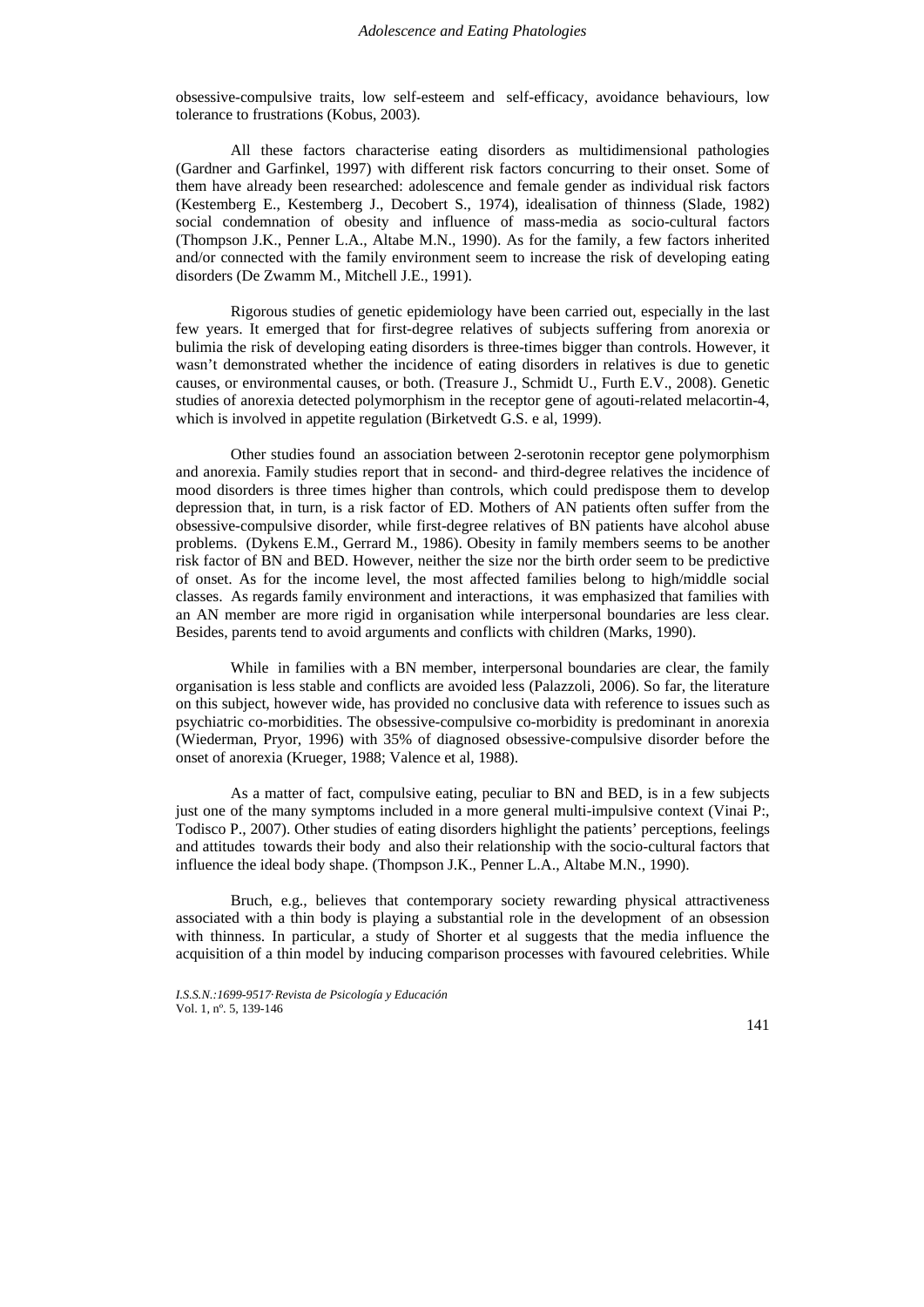obsessive-compulsive traits, low self-esteem and self-efficacy, avoidance behaviours, low tolerance to frustrations (Kobus, 2003).

All these factors characterise eating disorders as multidimensional pathologies (Gardner and Garfinkel, 1997) with different risk factors concurring to their onset. Some of them have already been researched: adolescence and female gender as individual risk factors (Kestemberg E., Kestemberg J., Decobert S., 1974), idealisation of thinness (Slade, 1982) social condemnation of obesity and influence of mass-media as socio-cultural factors (Thompson J.K., Penner L.A., Altabe M.N., 1990). As for the family, a few factors inherited and/or connected with the family environment seem to increase the risk of developing eating disorders (De Zwamm M., Mitchell J.E., 1991).

Rigorous studies of genetic epidemiology have been carried out, especially in the last few years. It emerged that for first-degree relatives of subjects suffering from anorexia or bulimia the risk of developing eating disorders is three-times bigger than controls. However, it wasn't demonstrated whether the incidence of eating disorders in relatives is due to genetic causes, or environmental causes, or both. (Treasure J., Schmidt U., Furth E.V., 2008). Genetic studies of anorexia detected polymorphism in the receptor gene of agouti-related melacortin-4, which is involved in appetite regulation (Birketvedt G.S. e al, 1999).

Other studies found an association between 2-serotonin receptor gene polymorphism and anorexia. Family studies report that in second- and third-degree relatives the incidence of mood disorders is three times higher than controls, which could predispose them to develop depression that, in turn, is a risk factor of ED. Mothers of AN patients often suffer from the obsessive-compulsive disorder, while first-degree relatives of BN patients have alcohol abuse problems. (Dykens E.M., Gerrard M., 1986). Obesity in family members seems to be another risk factor of BN and BED. However, neither the size nor the birth order seem to be predictive of onset. As for the income level, the most affected families belong to high/middle social classes. As regards family environment and interactions, it was emphasized that families with an AN member are more rigid in organisation while interpersonal boundaries are less clear. Besides, parents tend to avoid arguments and conflicts with children (Marks, 1990).

While in families with a BN member, interpersonal boundaries are clear, the family organisation is less stable and conflicts are avoided less (Palazzoli, 2006). So far, the literature on this subject, however wide, has provided no conclusive data with reference to issues such as psychiatric co-morbidities. The obsessive-compulsive co-morbidity is predominant in anorexia (Wiederman, Pryor, 1996) with 35% of diagnosed obsessive-compulsive disorder before the onset of anorexia (Krueger, 1988; Valence et al, 1988).

As a matter of fact, compulsive eating, peculiar to BN and BED, is in a few subjects just one of the many symptoms included in a more general multi-impulsive context (Vinai P:, Todisco P., 2007). Other studies of eating disorders highlight the patients' perceptions, feelings and attitudes towards their body and also their relationship with the socio-cultural factors that influence the ideal body shape. (Thompson J.K., Penner L.A., Altabe M.N., 1990).

Bruch, e.g., believes that contemporary society rewarding physical attractiveness associated with a thin body is playing a substantial role in the development of an obsession with thinness. In particular, a study of Shorter et al suggests that the media influence the acquisition of a thin model by inducing comparison processes with favoured celebrities. While

*I.S.S.N.:1699-9517*·*Revista de Psicología y Educación*  Vol. 1, nº. 5, 139-146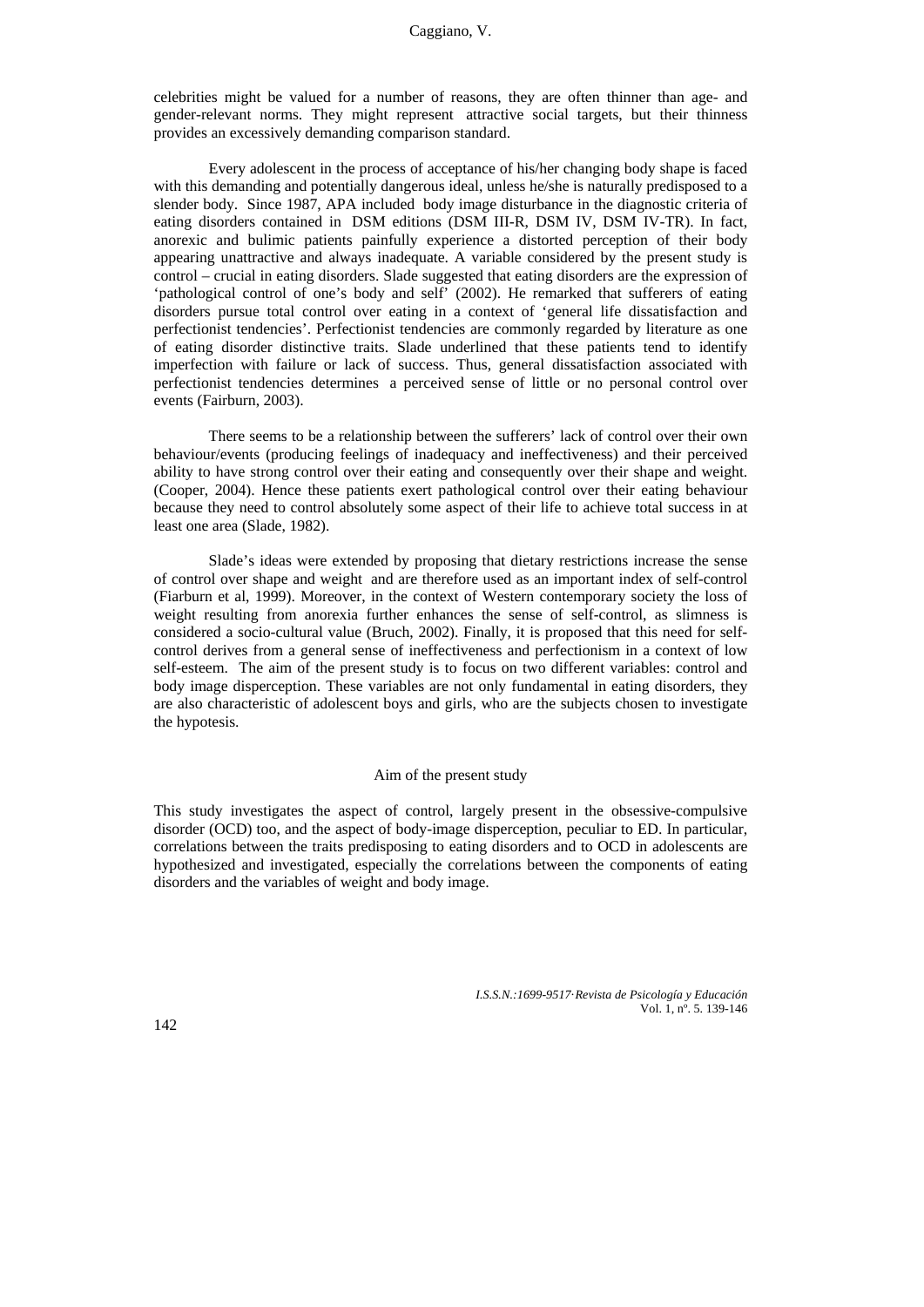celebrities might be valued for a number of reasons, they are often thinner than age- and gender-relevant norms. They might represent attractive social targets, but their thinness provides an excessively demanding comparison standard.

Every adolescent in the process of acceptance of his/her changing body shape is faced with this demanding and potentially dangerous ideal, unless he/she is naturally predisposed to a slender body. Since 1987, APA included body image disturbance in the diagnostic criteria of eating disorders contained in DSM editions (DSM III-R, DSM IV, DSM IV-TR). In fact, anorexic and bulimic patients painfully experience a distorted perception of their body appearing unattractive and always inadequate. A variable considered by the present study is control – crucial in eating disorders. Slade suggested that eating disorders are the expression of 'pathological control of one's body and self' (2002). He remarked that sufferers of eating disorders pursue total control over eating in a context of 'general life dissatisfaction and perfectionist tendencies'. Perfectionist tendencies are commonly regarded by literature as one of eating disorder distinctive traits. Slade underlined that these patients tend to identify imperfection with failure or lack of success. Thus, general dissatisfaction associated with perfectionist tendencies determines a perceived sense of little or no personal control over events (Fairburn, 2003).

There seems to be a relationship between the sufferers' lack of control over their own behaviour/events (producing feelings of inadequacy and ineffectiveness) and their perceived ability to have strong control over their eating and consequently over their shape and weight. (Cooper, 2004). Hence these patients exert pathological control over their eating behaviour because they need to control absolutely some aspect of their life to achieve total success in at least one area (Slade, 1982).

Slade's ideas were extended by proposing that dietary restrictions increase the sense of control over shape and weight and are therefore used as an important index of self-control (Fiarburn et al, 1999). Moreover, in the context of Western contemporary society the loss of weight resulting from anorexia further enhances the sense of self-control, as slimness is considered a socio-cultural value (Bruch, 2002). Finally, it is proposed that this need for selfcontrol derives from a general sense of ineffectiveness and perfectionism in a context of low self-esteem. The aim of the present study is to focus on two different variables: control and body image disperception. These variables are not only fundamental in eating disorders, they are also characteristic of adolescent boys and girls, who are the subjects chosen to investigate the hypotesis.

# Aim of the present study

This study investigates the aspect of control, largely present in the obsessive-compulsive disorder (OCD) too, and the aspect of body-image disperception, peculiar to ED. In particular, correlations between the traits predisposing to eating disorders and to OCD in adolescents are hypothesized and investigated, especially the correlations between the components of eating disorders and the variables of weight and body image.

> *I.S.S.N.:1699-9517*·*Revista de Psicología y Educación*  Vol. 1, nº. 5. 139-146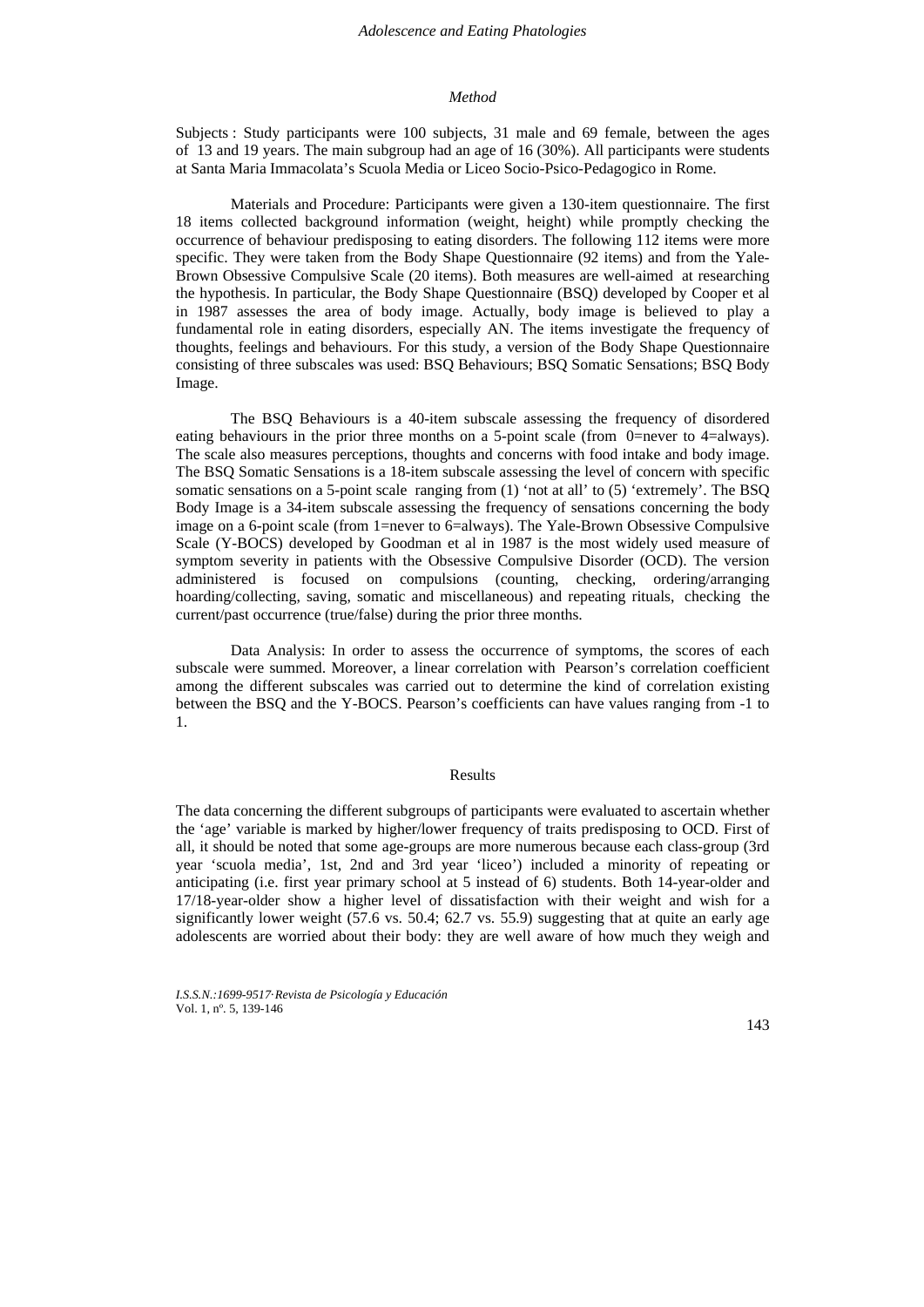### *Method*

Subjects : Study participants were 100 subjects, 31 male and 69 female, between the ages of 13 and 19 years. The main subgroup had an age of 16 (30%). All participants were students at Santa Maria Immacolata's Scuola Media or Liceo Socio-Psico-Pedagogico in Rome.

Materials and Procedure: Participants were given a 130-item questionnaire. The first 18 items collected background information (weight, height) while promptly checking the occurrence of behaviour predisposing to eating disorders. The following 112 items were more specific. They were taken from the Body Shape Questionnaire (92 items) and from the Yale-Brown Obsessive Compulsive Scale (20 items). Both measures are well-aimed at researching the hypothesis. In particular, the Body Shape Questionnaire (BSQ) developed by Cooper et al in 1987 assesses the area of body image. Actually, body image is believed to play a fundamental role in eating disorders, especially AN. The items investigate the frequency of thoughts, feelings and behaviours. For this study, a version of the Body Shape Questionnaire consisting of three subscales was used: BSQ Behaviours; BSQ Somatic Sensations; BSQ Body Image.

The BSQ Behaviours is a 40-item subscale assessing the frequency of disordered eating behaviours in the prior three months on a 5-point scale (from 0=never to 4=always). The scale also measures perceptions, thoughts and concerns with food intake and body image. The BSQ Somatic Sensations is a 18-item subscale assessing the level of concern with specific somatic sensations on a 5-point scale ranging from (1) 'not at all' to (5) 'extremely'. The BSQ Body Image is a 34-item subscale assessing the frequency of sensations concerning the body image on a 6-point scale (from 1=never to 6=always). The Yale-Brown Obsessive Compulsive Scale (Y-BOCS) developed by Goodman et al in 1987 is the most widely used measure of symptom severity in patients with the Obsessive Compulsive Disorder (OCD). The version administered is focused on compulsions (counting, checking, ordering/arranging hoarding/collecting, saving, somatic and miscellaneous) and repeating rituals, checking the current/past occurrence (true/false) during the prior three months.

Data Analysis: In order to assess the occurrence of symptoms, the scores of each subscale were summed. Moreover, a linear correlation with Pearson's correlation coefficient among the different subscales was carried out to determine the kind of correlation existing between the BSQ and the Y-BOCS. Pearson's coefficients can have values ranging from -1 to 1.

## Results

The data concerning the different subgroups of participants were evaluated to ascertain whether the 'age' variable is marked by higher/lower frequency of traits predisposing to OCD. First of all, it should be noted that some age-groups are more numerous because each class-group (3rd year 'scuola media', 1st, 2nd and 3rd year 'liceo') included a minority of repeating or anticipating (i.e. first year primary school at 5 instead of 6) students. Both 14-year-older and 17/18-year-older show a higher level of dissatisfaction with their weight and wish for a significantly lower weight (57.6 vs. 50.4; 62.7 vs. 55.9) suggesting that at quite an early age adolescents are worried about their body: they are well aware of how much they weigh and

*I.S.S.N.:1699-9517*·*Revista de Psicología y Educación*  Vol. 1, nº. 5, 139-146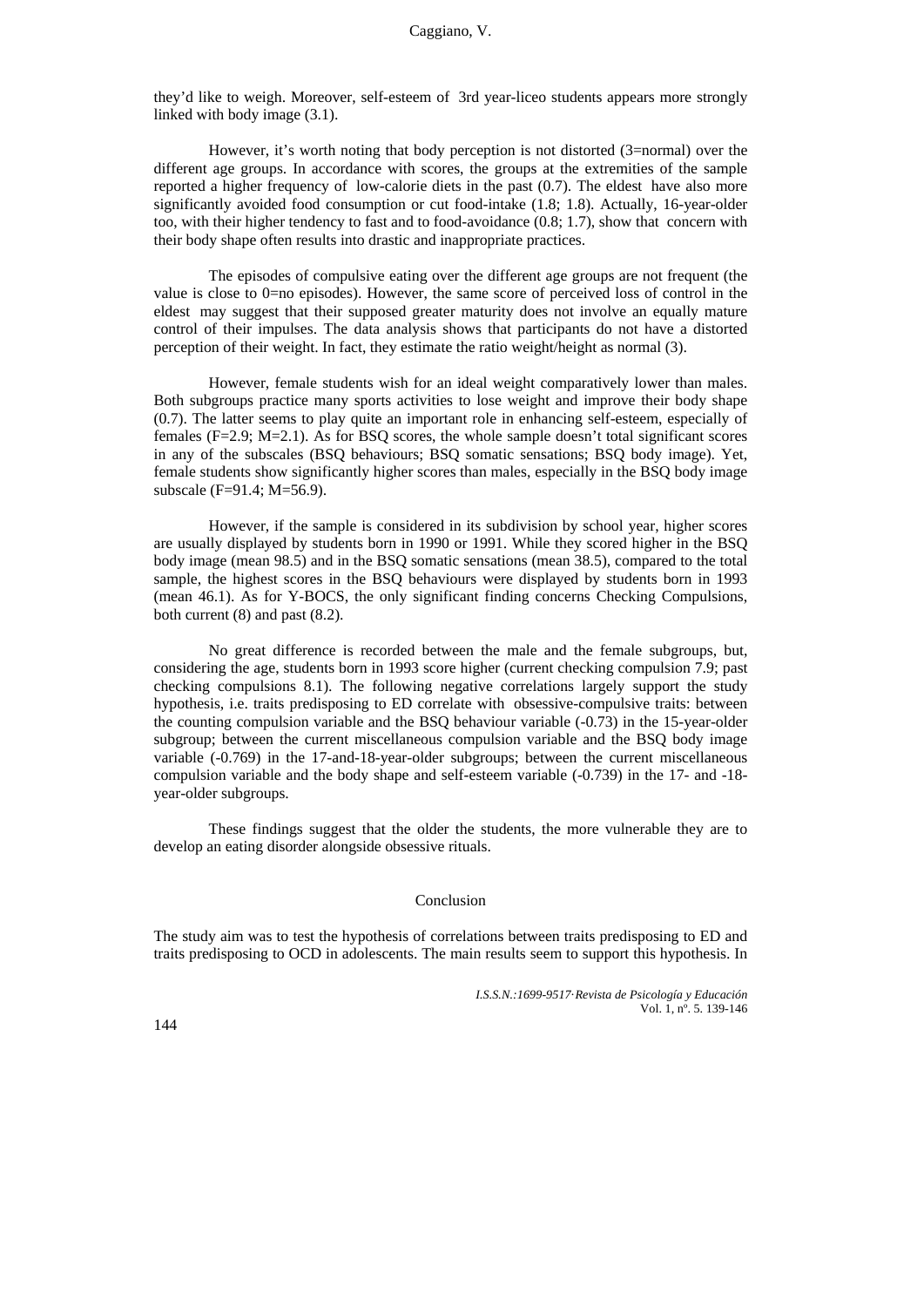they'd like to weigh. Moreover, self-esteem of 3rd year-liceo students appears more strongly linked with body image (3.1).

However, it's worth noting that body perception is not distorted (3=normal) over the different age groups. In accordance with scores, the groups at the extremities of the sample reported a higher frequency of low-calorie diets in the past (0.7). The eldest have also more significantly avoided food consumption or cut food-intake (1.8; 1.8). Actually, 16-year-older too, with their higher tendency to fast and to food-avoidance (0.8; 1.7), show that concern with their body shape often results into drastic and inappropriate practices.

The episodes of compulsive eating over the different age groups are not frequent (the value is close to 0=no episodes). However, the same score of perceived loss of control in the eldest may suggest that their supposed greater maturity does not involve an equally mature control of their impulses. The data analysis shows that participants do not have a distorted perception of their weight. In fact, they estimate the ratio weight/height as normal (3).

However, female students wish for an ideal weight comparatively lower than males. Both subgroups practice many sports activities to lose weight and improve their body shape (0.7). The latter seems to play quite an important role in enhancing self-esteem, especially of females  $(F=2.9; M=2.1)$ . As for BSO scores, the whole sample doesn't total significant scores in any of the subscales (BSQ behaviours; BSQ somatic sensations; BSQ body image). Yet, female students show significantly higher scores than males, especially in the BSQ body image subscale (F=91.4; M=56.9).

However, if the sample is considered in its subdivision by school year, higher scores are usually displayed by students born in 1990 or 1991. While they scored higher in the BSQ body image (mean 98.5) and in the BSQ somatic sensations (mean 38.5), compared to the total sample, the highest scores in the BSQ behaviours were displayed by students born in 1993 (mean 46.1). As for Y-BOCS, the only significant finding concerns Checking Compulsions, both current (8) and past (8.2).

No great difference is recorded between the male and the female subgroups, but, considering the age, students born in 1993 score higher (current checking compulsion 7.9; past checking compulsions 8.1). The following negative correlations largely support the study hypothesis, i.e. traits predisposing to ED correlate with obsessive-compulsive traits: between the counting compulsion variable and the BSQ behaviour variable (-0.73) in the 15-year-older subgroup; between the current miscellaneous compulsion variable and the BSQ body image variable (-0.769) in the 17-and-18-year-older subgroups; between the current miscellaneous compulsion variable and the body shape and self-esteem variable (-0.739) in the 17- and -18 year-older subgroups.

These findings suggest that the older the students, the more vulnerable they are to develop an eating disorder alongside obsessive rituals.

#### Conclusion

The study aim was to test the hypothesis of correlations between traits predisposing to ED and traits predisposing to OCD in adolescents. The main results seem to support this hypothesis. In

> *I.S.S.N.:1699-9517*·*Revista de Psicología y Educación*  Vol. 1, nº. 5. 139-146

144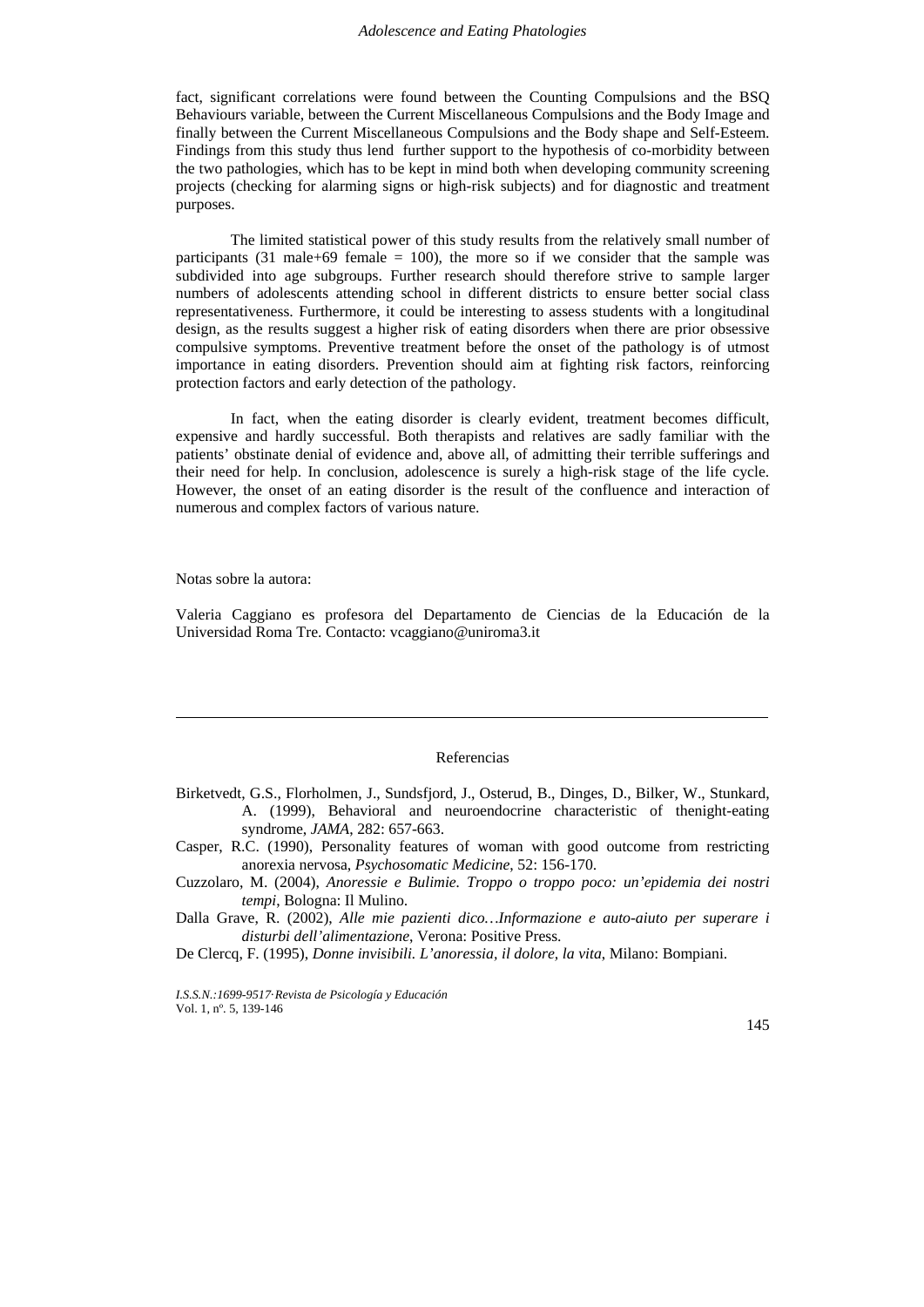fact, significant correlations were found between the Counting Compulsions and the BSQ Behaviours variable, between the Current Miscellaneous Compulsions and the Body Image and finally between the Current Miscellaneous Compulsions and the Body shape and Self-Esteem. Findings from this study thus lend further support to the hypothesis of co-morbidity between the two pathologies, which has to be kept in mind both when developing community screening projects (checking for alarming signs or high-risk subjects) and for diagnostic and treatment purposes.

The limited statistical power of this study results from the relatively small number of participants (31 male+69 female  $= 100$ ), the more so if we consider that the sample was subdivided into age subgroups. Further research should therefore strive to sample larger numbers of adolescents attending school in different districts to ensure better social class representativeness. Furthermore, it could be interesting to assess students with a longitudinal design, as the results suggest a higher risk of eating disorders when there are prior obsessive compulsive symptoms. Preventive treatment before the onset of the pathology is of utmost importance in eating disorders. Prevention should aim at fighting risk factors, reinforcing protection factors and early detection of the pathology.

In fact, when the eating disorder is clearly evident, treatment becomes difficult, expensive and hardly successful. Both therapists and relatives are sadly familiar with the patients' obstinate denial of evidence and, above all, of admitting their terrible sufferings and their need for help. In conclusion, adolescence is surely a high-risk stage of the life cycle. However, the onset of an eating disorder is the result of the confluence and interaction of numerous and complex factors of various nature.

Notas sobre la autora:

Ī

Valeria Caggiano es profesora del Departamento de Ciencias de la Educación de la Universidad Roma Tre. Contacto: vcaggiano@uniroma3.it

#### Referencias

- Birketvedt, G.S., Florholmen, J., Sundsfjord, J., Osterud, B., Dinges, D., Bilker, W., Stunkard, A. (1999), Behavioral and neuroendocrine characteristic of thenight-eating syndrome, *JAMA*, 282: 657-663.
- Casper, R.C. (1990), Personality features of woman with good outcome from restricting anorexia nervosa, *Psychosomatic Medicine*, 52: 156-170.
- Cuzzolaro, M. (2004), *Anoressie e Bulimie. Troppo o troppo poco: un'epidemia dei nostri tempi*, Bologna: Il Mulino.

Dalla Grave, R. (2002), *Alle mie pazienti dico…Informazione e auto-aiuto per superare i disturbi dell'alimentazione*, Verona: Positive Press.

De Clercq, F. (1995), *Donne invisibili. L'anoressia, il dolore, la vita*, Milano: Bompiani.

*I.S.S.N.:1699-9517*·*Revista de Psicología y Educación*  Vol. 1, nº. 5, 139-146

145